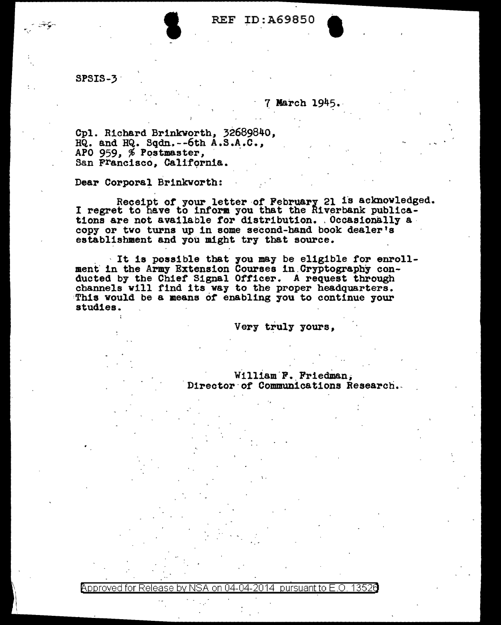# REF ID:A69850

SPSIS-3 ·

## 7 March 1945 •.

Cpl. Richard Br1nkvorth, 32689840, HQ. and HQ. Sqdn.--6th A.S.A.C., APO 959, <sup>\$</sup> Postmaster,<br>San F<sup>rancisco, California.</sup>

Dear Corporal Brinkworth:

Receipt of your letter of February 21 is acknowledged.<br>I regret to have to inform you that the Riverbank publica-<br>tions are not available for distribution. Occasionally a. copy or two turns up in some second-band book dealer's establishment and you might try that source.

. · It is possible that 7ou may be eligible for enrollment in the Army Extension Courses in Cryptography con-ducted by the Chief Signal Officer. A request through channels will find its way to the proper headquarters. This would be a means of enabling you to continue your studies.

Very truly yours.

William F. Friedman. Director of Communications Research.

I.

<code>Approved</code> for Release by NSA on 04-04-2014 <code>pursuant</code> to E.O. 1352 $\bm{a}$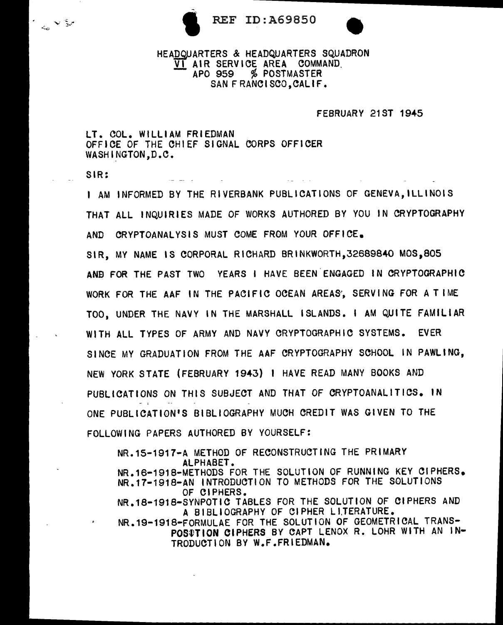



# REF ID:A69850 HEADQUARTERS & HEADQUARTERS SQUADRON VERSON HEADQUARTERS SQUADRON VI AIR SERVICE AREA COMMAND.<br>APO 959 % POSTMASTER SAN FRANCISCO, CALIF.

### FEBRUARY 21ST 1945

LT. COL. WILLIAM FRIEDMAN OFFICE OF THE CHIEF SIGNAL CORPS OFFICER WASHINGTON, D.C.

SIR:

 $\epsilon_{\rm c} \propto \frac{c}{2}$ 

I AM INFORMED BY THE RIVERBANK PUBLICATIONS OF GENEVA,ILLINOIS THAT ALL INQUIRIES MADE OF WORKS AUTHORED BY YOU IN CRYPTOGRAPHY AND CRYPTOANALYSIS MUST COME FROM YOUR OFFICE. SIR, MY NAME IS CORPORAL RICHARD BRINKWORTH,32689840 MOS,805 ANB FOR THE PAST TWO YEARS I HAVE BEEN ENGAGED IN CRYPTOGRAPHIC WORK FOR THE AAF IN THE PACIFIC OCEAN AREAS'. SERVING FOR A TIME TOO, UNDER THE NAVY IN THE MARSHALL ISLANDS. I AM QUITE FAMILIAR WITH ALL TYPES OF ARMY AND NAVY CRYPTOGRAPHIC SYSTEMS. EVER SINCE MY GRADUATION FROM THE AAF CRYPTOGRAPHY SCHOOL IN PAWLING, NEW YORK STATE (FEBRUARY 1943) I HAVE READ MANY BOOKS AND PUBLICATIONS ON THIS SUBJECT AND THAT OF CRYPTOANALITICS. IN ONE PUBLICATION'S BIBLIOGRAPHY MUCH CREDIT WAS GIVEN TO THE FOLLOWING PAPERS AUTHORED BY YOURSELF:

NR.15-1917-A METHOD OF RECONSTRUCTING THE PRIMARY ALPHABET. NR.16-1918-METHODS FOR THE SOLUTION OF RUNNING KEV CIPHERS. NR.17·1918-AN INTRODUCTION TO METHODS FOR THE SOLUTIONS OF CIPHERS. NR.18-1918-SYNPOTIC TABLES FOR THE SOLUTION OF CIPHERS AND A BIBLIOGRAPHY OF Cl PHER L l.TERATURE. NR.19-1918-FORMULAE FOR THE SOLUTION OF GEOMETRICAL TRANS-POSTTION CIPHERS BY CAPT LENOX R. LOHR WITH AN IN-TRODUCTION BY W.F.FRIEDMAN.